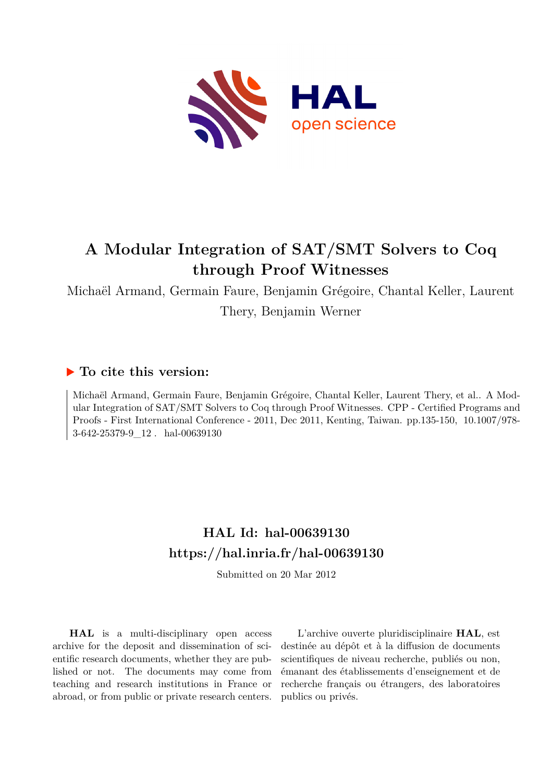

# **A Modular Integration of SAT/SMT Solvers to Coq through Proof Witnesses**

Michaël Armand, Germain Faure, Benjamin Grégoire, Chantal Keller, Laurent Thery, Benjamin Werner

# **To cite this version:**

Michaël Armand, Germain Faure, Benjamin Grégoire, Chantal Keller, Laurent Thery, et al.. A Modular Integration of SAT/SMT Solvers to Coq through Proof Witnesses. CPP - Certified Programs and Proofs - First International Conference - 2011, Dec 2011, Kenting, Taiwan. pp.135-150, 10.1007/978-3-642-25379-9\_12 . hal-00639130

# **HAL Id: hal-00639130 <https://hal.inria.fr/hal-00639130>**

Submitted on 20 Mar 2012

**HAL** is a multi-disciplinary open access archive for the deposit and dissemination of scientific research documents, whether they are published or not. The documents may come from teaching and research institutions in France or abroad, or from public or private research centers.

L'archive ouverte pluridisciplinaire **HAL**, est destinée au dépôt et à la diffusion de documents scientifiques de niveau recherche, publiés ou non, émanant des établissements d'enseignement et de recherche français ou étrangers, des laboratoires publics ou privés.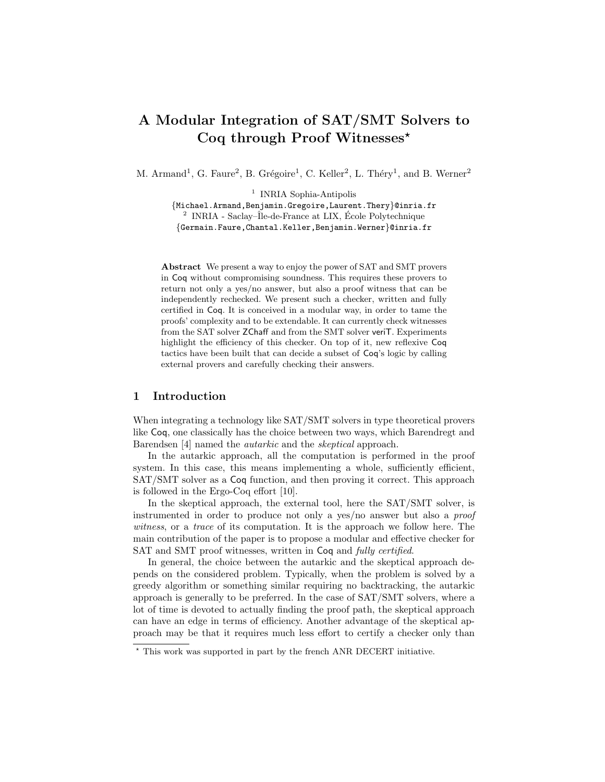# A Modular Integration of SAT/SMT Solvers to Coq through Proof Witnesses\*

M. Armand<sup>1</sup>, G. Faure<sup>2</sup>, B. Grégoire<sup>1</sup>, C. Keller<sup>2</sup>, L. Théry<sup>1</sup>, and B. Werner<sup>2</sup>

<sup>1</sup> INRIA Sophia-Antipolis

{Michael.Armand,Benjamin.Gregoire,Laurent.Thery}@inria.fr <sup>2</sup> INRIA - Saclay–Île-de-France at LIX, École Polytechnique {Germain.Faure,Chantal.Keller,Benjamin.Werner}@inria.fr

Abstract We present a way to enjoy the power of SAT and SMT provers in Coq without compromising soundness. This requires these provers to return not only a yes/no answer, but also a proof witness that can be independently rechecked. We present such a checker, written and fully certified in Coq. It is conceived in a modular way, in order to tame the proofs' complexity and to be extendable. It can currently check witnesses from the SAT solver ZChaff and from the SMT solver veriT. Experiments highlight the efficiency of this checker. On top of it, new reflexive Coq tactics have been built that can decide a subset of Coq's logic by calling external provers and carefully checking their answers.

## 1 Introduction

When integrating a technology like SAT/SMT solvers in type theoretical provers like Coq, one classically has the choice between two ways, which Barendregt and Barendsen [4] named the autarkic and the skeptical approach.

In the autarkic approach, all the computation is performed in the proof system. In this case, this means implementing a whole, sufficiently efficient, SAT/SMT solver as a Coq function, and then proving it correct. This approach is followed in the Ergo-Coq effort [10].

In the skeptical approach, the external tool, here the SAT/SMT solver, is instrumented in order to produce not only a yes/no answer but also a proof witness, or a trace of its computation. It is the approach we follow here. The main contribution of the paper is to propose a modular and effective checker for SAT and SMT proof witnesses, written in Coq and *fully certified*.

In general, the choice between the autarkic and the skeptical approach depends on the considered problem. Typically, when the problem is solved by a greedy algorithm or something similar requiring no backtracking, the autarkic approach is generally to be preferred. In the case of SAT/SMT solvers, where a lot of time is devoted to actually finding the proof path, the skeptical approach can have an edge in terms of efficiency. Another advantage of the skeptical approach may be that it requires much less effort to certify a checker only than

<sup>⋆</sup> This work was supported in part by the french ANR DECERT initiative.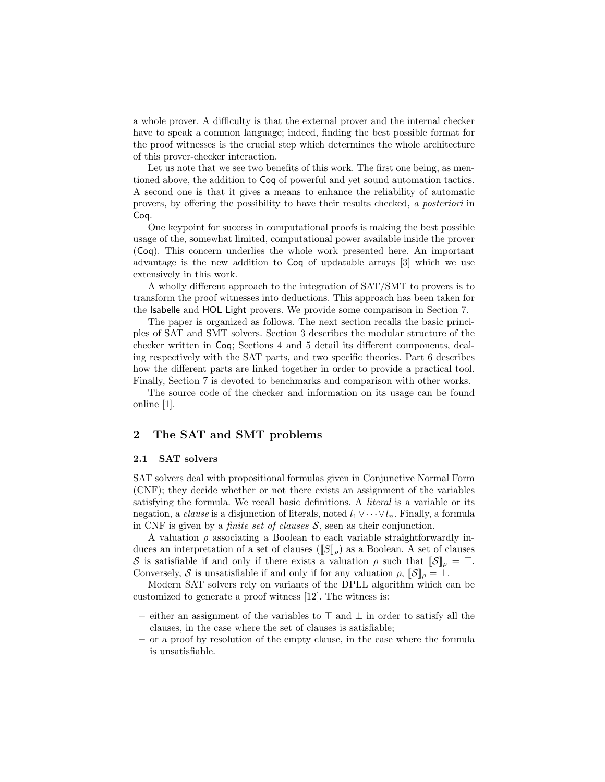a whole prover. A difficulty is that the external prover and the internal checker have to speak a common language; indeed, finding the best possible format for the proof witnesses is the crucial step which determines the whole architecture of this prover-checker interaction.

Let us note that we see two benefits of this work. The first one being, as mentioned above, the addition to Coq of powerful and yet sound automation tactics. A second one is that it gives a means to enhance the reliability of automatic provers, by offering the possibility to have their results checked, a posteriori in Coq.

One keypoint for success in computational proofs is making the best possible usage of the, somewhat limited, computational power available inside the prover (Coq). This concern underlies the whole work presented here. An important advantage is the new addition to Coq of updatable arrays [3] which we use extensively in this work.

A wholly different approach to the integration of SAT/SMT to provers is to transform the proof witnesses into deductions. This approach has been taken for the Isabelle and HOL Light provers. We provide some comparison in Section 7.

The paper is organized as follows. The next section recalls the basic principles of SAT and SMT solvers. Section 3 describes the modular structure of the checker written in Coq; Sections 4 and 5 detail its different components, dealing respectively with the SAT parts, and two specific theories. Part 6 describes how the different parts are linked together in order to provide a practical tool. Finally, Section 7 is devoted to benchmarks and comparison with other works.

The source code of the checker and information on its usage can be found online [1].

### 2 The SAT and SMT problems

#### 2.1 SAT solvers

SAT solvers deal with propositional formulas given in Conjunctive Normal Form (CNF); they decide whether or not there exists an assignment of the variables satisfying the formula. We recall basic definitions. A *literal* is a variable or its negation, a *clause* is a disjunction of literals, noted  $l_1 \vee \cdots \vee l_n$ . Finally, a formula in CNF is given by a *finite set of clauses*  $S$ , seen as their conjunction.

A valuation  $\rho$  associating a Boolean to each variable straightforwardly induces an interpretation of a set of clauses ( $[[S]]_{\rho}$ ) as a Boolean. A set of clauses S is satisfiable if and only if there exists a valuation  $\rho$  such that  $[\mathcal{S}]_{\rho} = \top$ . Conversely, S is unsatisfiable if and only if for any valuation  $\rho$ ,  $\|\mathcal{S}\|_{\rho} = \bot$ .

Modern SAT solvers rely on variants of the DPLL algorithm which can be customized to generate a proof witness [12]. The witness is:

- either an assignment of the variables to ⊤ and ⊥ in order to satisfy all the clauses, in the case where the set of clauses is satisfiable;
- or a proof by resolution of the empty clause, in the case where the formula is unsatisfiable.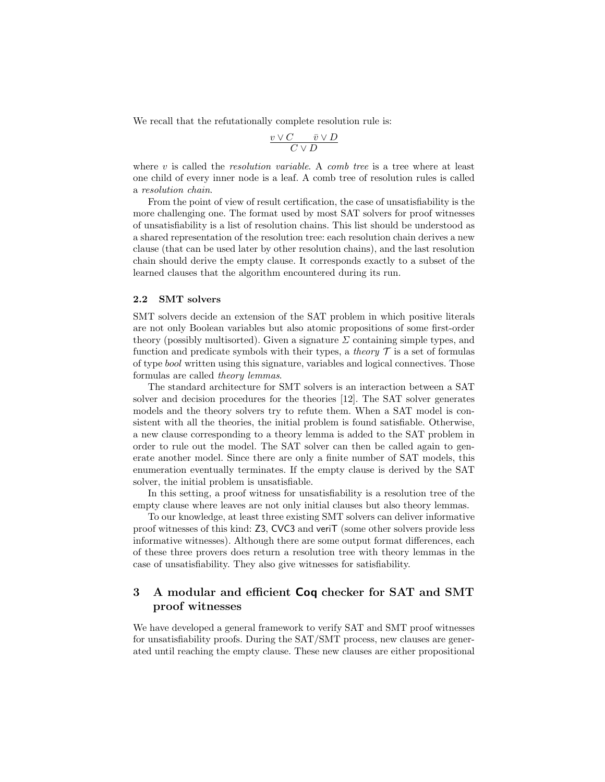We recall that the refutationally complete resolution rule is:

$$
\frac{v\vee C\qquadbar v\vee D}{C\vee D}
$$

where  $v$  is called the *resolution variable*. A *comb tree* is a tree where at least one child of every inner node is a leaf. A comb tree of resolution rules is called a resolution chain.

From the point of view of result certification, the case of unsatisfiability is the more challenging one. The format used by most SAT solvers for proof witnesses of unsatisfiability is a list of resolution chains. This list should be understood as a shared representation of the resolution tree: each resolution chain derives a new clause (that can be used later by other resolution chains), and the last resolution chain should derive the empty clause. It corresponds exactly to a subset of the learned clauses that the algorithm encountered during its run.

#### 2.2 SMT solvers

SMT solvers decide an extension of the SAT problem in which positive literals are not only Boolean variables but also atomic propositions of some first-order theory (possibly multisorted). Given a signature  $\Sigma$  containing simple types, and function and predicate symbols with their types, a *theory*  $\mathcal T$  is a set of formulas of type bool written using this signature, variables and logical connectives. Those formulas are called theory lemmas.

The standard architecture for SMT solvers is an interaction between a SAT solver and decision procedures for the theories [12]. The SAT solver generates models and the theory solvers try to refute them. When a SAT model is consistent with all the theories, the initial problem is found satisfiable. Otherwise, a new clause corresponding to a theory lemma is added to the SAT problem in order to rule out the model. The SAT solver can then be called again to generate another model. Since there are only a finite number of SAT models, this enumeration eventually terminates. If the empty clause is derived by the SAT solver, the initial problem is unsatisfiable.

In this setting, a proof witness for unsatisfiability is a resolution tree of the empty clause where leaves are not only initial clauses but also theory lemmas.

To our knowledge, at least three existing SMT solvers can deliver informative proof witnesses of this kind: Z3, CVC3 and veriT (some other solvers provide less informative witnesses). Although there are some output format differences, each of these three provers does return a resolution tree with theory lemmas in the case of unsatisfiability. They also give witnesses for satisfiability.

# 3 A modular and efficient Coq checker for SAT and SMT proof witnesses

We have developed a general framework to verify SAT and SMT proof witnesses for unsatisfiability proofs. During the SAT/SMT process, new clauses are generated until reaching the empty clause. These new clauses are either propositional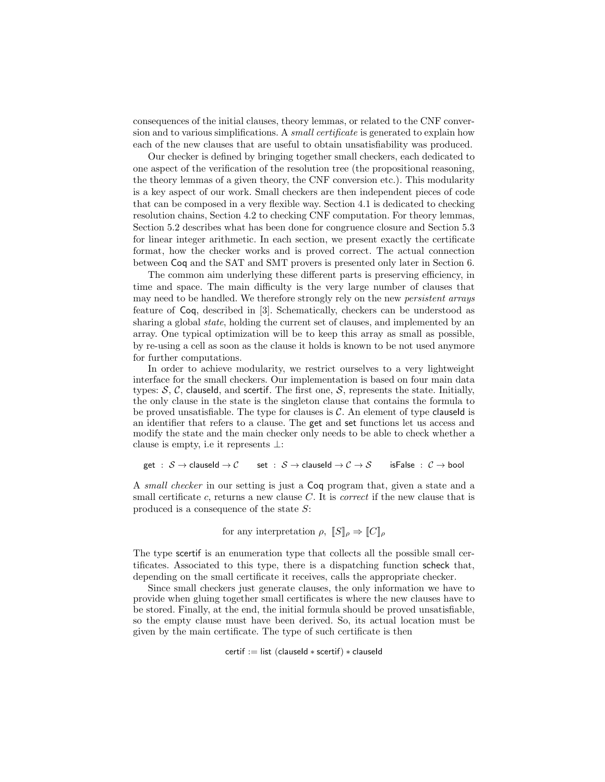consequences of the initial clauses, theory lemmas, or related to the CNF conversion and to various simplifications. A small certificate is generated to explain how each of the new clauses that are useful to obtain unsatisfiability was produced.

Our checker is defined by bringing together small checkers, each dedicated to one aspect of the verification of the resolution tree (the propositional reasoning, the theory lemmas of a given theory, the CNF conversion etc.). This modularity is a key aspect of our work. Small checkers are then independent pieces of code that can be composed in a very flexible way. Section 4.1 is dedicated to checking resolution chains, Section 4.2 to checking CNF computation. For theory lemmas, Section 5.2 describes what has been done for congruence closure and Section 5.3 for linear integer arithmetic. In each section, we present exactly the certificate format, how the checker works and is proved correct. The actual connection between Coq and the SAT and SMT provers is presented only later in Section 6.

The common aim underlying these different parts is preserving efficiency, in time and space. The main difficulty is the very large number of clauses that may need to be handled. We therefore strongly rely on the new persistent arrays feature of Coq, described in [3]. Schematically, checkers can be understood as sharing a global *state*, holding the current set of clauses, and implemented by an array. One typical optimization will be to keep this array as small as possible, by re-using a cell as soon as the clause it holds is known to be not used anymore for further computations.

In order to achieve modularity, we restrict ourselves to a very lightweight interface for the small checkers. Our implementation is based on four main data types:  $S$ ,  $C$ , clauseld, and scertif. The first one,  $S$ , represents the state. Initially, the only clause in the state is the singleton clause that contains the formula to be proved unsatisfiable. The type for clauses is  $C$ . An element of type clauseld is an identifier that refers to a clause. The get and set functions let us access and modify the state and the main checker only needs to be able to check whether a clause is empty, i.e it represents ⊥:

$$
\text{get} \; : \; \mathcal{S} \to \text{clauseld} \to \mathcal{C} \qquad \text{set} \; : \; \mathcal{S} \to \text{clauseld} \to \mathcal{C} \to \mathcal{S} \qquad \text{isFalse} \; : \; \mathcal{C} \to \text{bool}
$$

A small checker in our setting is just a Coq program that, given a state and a small certificate c, returns a new clause  $C$ . It is *correct* if the new clause that is produced is a consequence of the state S:

for any interpretation 
$$
\rho
$$
,  $[\![S]\!]_{\rho} \Rightarrow [\![C]\!]_{\rho}$ 

The type scertif is an enumeration type that collects all the possible small certificates. Associated to this type, there is a dispatching function scheck that, depending on the small certificate it receives, calls the appropriate checker.

Since small checkers just generate clauses, the only information we have to provide when gluing together small certificates is where the new clauses have to be stored. Finally, at the end, the initial formula should be proved unsatisfiable, so the empty clause must have been derived. So, its actual location must be given by the main certificate. The type of such certificate is then

certif := list (clauseId ∗ scertif) ∗ clauseId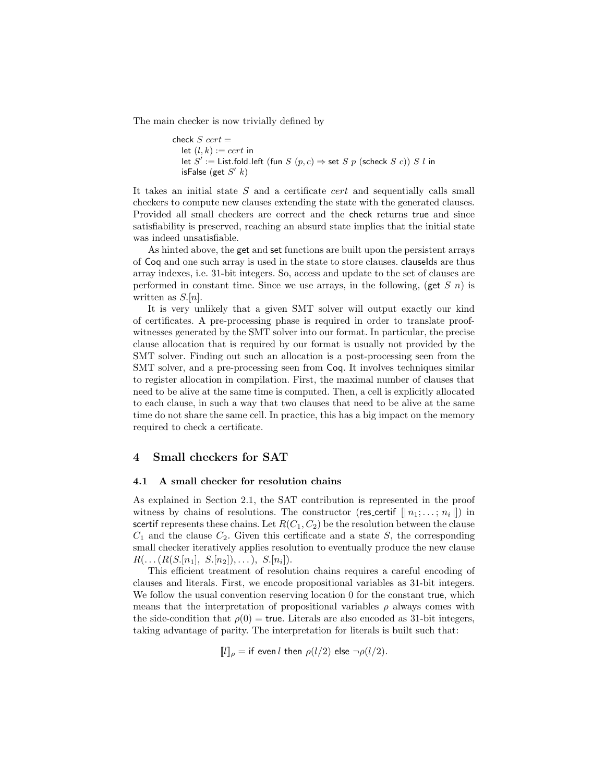The main checker is now trivially defined by

```
check S cert =let (l, k) := cert in
let S' := List.fold_left (fun S(p, c) \Rightarrow set S(p, c) (scheck S(c)) S(l) in
isFalse (get S' k)
```
It takes an initial state  $S$  and a certificate cert and sequentially calls small checkers to compute new clauses extending the state with the generated clauses. Provided all small checkers are correct and the check returns true and since satisfiability is preserved, reaching an absurd state implies that the initial state was indeed unsatisfiable.

As hinted above, the get and set functions are built upon the persistent arrays of Coq and one such array is used in the state to store clauses. clauselds are thus array indexes, i.e. 31-bit integers. So, access and update to the set of clauses are performed in constant time. Since we use arrays, in the following, (get  $S$  n) is written as  $S$ .[n].

It is very unlikely that a given SMT solver will output exactly our kind of certificates. A pre-processing phase is required in order to translate proofwitnesses generated by the SMT solver into our format. In particular, the precise clause allocation that is required by our format is usually not provided by the SMT solver. Finding out such an allocation is a post-processing seen from the SMT solver, and a pre-processing seen from Coq. It involves techniques similar to register allocation in compilation. First, the maximal number of clauses that need to be alive at the same time is computed. Then, a cell is explicitly allocated to each clause, in such a way that two clauses that need to be alive at the same time do not share the same cell. In practice, this has a big impact on the memory required to check a certificate.

#### 4 Small checkers for SAT

#### 4.1 A small checker for resolution chains

As explained in Section 2.1, the SAT contribution is represented in the proof witness by chains of resolutions. The constructor (res\_certif  $[|n_1; \ldots; n_i|]$ ) in scertif represents these chains. Let  $R(C_1, C_2)$  be the resolution between the clause  $C_1$  and the clause  $C_2$ . Given this certificate and a state S, the corresponding small checker iteratively applies resolution to eventually produce the new clause  $R(\ldots (R(S.[n_1], S.[n_2]), \ldots), S.[n_i]).$ 

This efficient treatment of resolution chains requires a careful encoding of clauses and literals. First, we encode propositional variables as 31-bit integers. We follow the usual convention reserving location 0 for the constant true, which means that the interpretation of propositional variables  $\rho$  always comes with the side-condition that  $\rho(0)$  = true. Literals are also encoded as 31-bit integers, taking advantage of parity. The interpretation for literals is built such that:

$$
[l]_{\rho} = \text{if even } l \text{ then } \rho(l/2) \text{ else } \neg \rho(l/2).
$$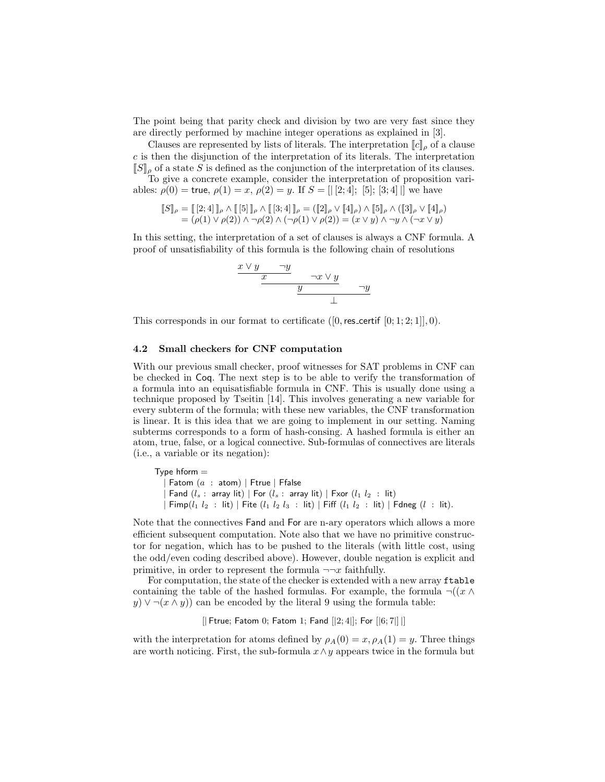The point being that parity check and division by two are very fast since they are directly performed by machine integer operations as explained in [3].

Clauses are represented by lists of literals. The interpretation  $\llbracket c \rrbracket_\rho$  of a clause  $c$  is then the disjunction of the interpretation of its literals. The interpretation  $\llbracket S \rrbracket_{\rho}$  of a state S is defined as the conjunction of the interpretation of its clauses. To give a concrete example, consider the interpretation of proposition variables:  $\rho(0) = \text{true}, \rho(1) = x, \rho(2) = y$ . If  $S = [[2, 4]; [5]; [3, 4]]$  we have

$$
\begin{aligned} [\![S]\!]_{\rho} &= [\![\, [2;4]\!]_{\rho} \wedge [\![\, [5]\!]_{\rho} \wedge [\![\, [3;4]\!]_{\rho} = ([\![2]\!]_{\rho} \vee [\![4]\!]_{\rho}) \wedge [\![5]\!]_{\rho} \wedge ([\![3]\!]_{\rho} \vee [\![4]\!]_{\rho}) \\ &= (\rho(1) \vee \rho(2)) \wedge \neg \rho(2) \wedge (\neg \rho(1) \vee \rho(2)) = (x \vee y) \wedge \neg y \wedge (\neg x \vee y) \end{aligned}
$$

In this setting, the interpretation of a set of clauses is always a CNF formula. A proof of unsatisfiability of this formula is the following chain of resolutions

$$
\frac{x \vee y \qquad \neg y}{x \qquad \qquad \neg x \vee y}
$$

This corresponds in our format to certificate  $([0, \text{res\_certif } [0; 1; 2; 1]], 0)$ .

#### 4.2 Small checkers for CNF computation

With our previous small checker, proof witnesses for SAT problems in CNF can be checked in Coq. The next step is to be able to verify the transformation of a formula into an equisatisfiable formula in CNF. This is usually done using a technique proposed by Tseitin [14]. This involves generating a new variable for every subterm of the formula; with these new variables, the CNF transformation is linear. It is this idea that we are going to implement in our setting. Naming subterms corresponds to a form of hash-consing. A hashed formula is either an atom, true, false, or a logical connective. Sub-formulas of connectives are literals (i.e., a variable or its negation):

Type  $h$ form  $=$ Fatom  $(a : atom)$  | Ftrue | Ffalse Fand  $(l_s:$  array lit) | For  $(l_s:$  array lit) | Fxor  $(l_1 \ l_2:$  lit)  $\mathsf{Fimp}({l_1} {l_2} : \mathsf{lit}) | \mathsf{Fite} ({l_1} {l_2} {l_3} : \mathsf{lit}) | \mathsf{Fiff} ({l_1} {l_2} : \mathsf{lit}) | \mathsf{Fdneg} ({l : \mathsf{lit}}).$ 

Note that the connectives Fand and For are n-ary operators which allows a more efficient subsequent computation. Note also that we have no primitive constructor for negation, which has to be pushed to the literals (with little cost, using the odd/even coding described above). However, double negation is explicit and primitive, in order to represent the formula  $\neg\neg x$  faithfully.

For computation, the state of the checker is extended with a new array ftable containing the table of the hashed formulas. For example, the formula  $\neg((x \land$ y)  $\vee \neg(x \wedge y)$  can be encoded by the literal 9 using the formula table:

[| Ftrue; Fatom 0; Fatom 1; Fand [|2; 4|]; For [|6; 7|] |]

with the interpretation for atoms defined by  $\rho_A(0) = x, \rho_A(1) = y$ . Three things are worth noticing. First, the sub-formula  $x \wedge y$  appears twice in the formula but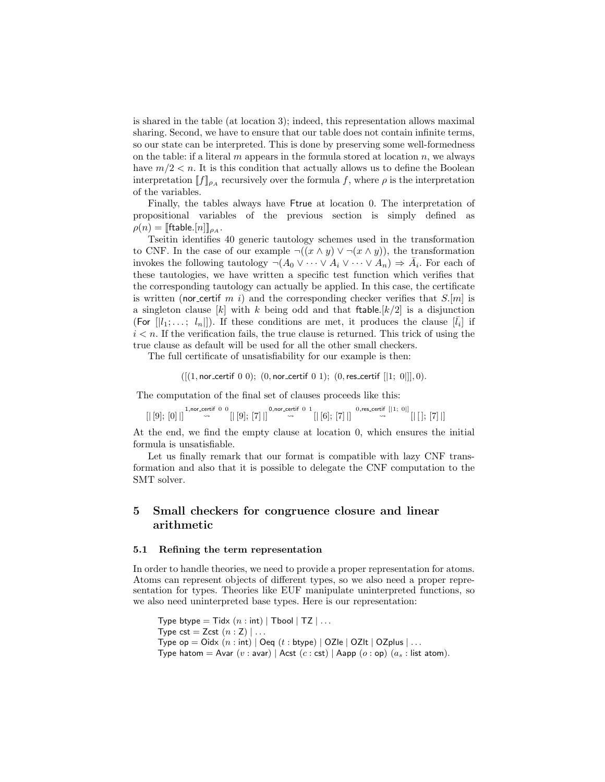is shared in the table (at location 3); indeed, this representation allows maximal sharing. Second, we have to ensure that our table does not contain infinite terms, so our state can be interpreted. This is done by preserving some well-formedness on the table: if a literal  $m$  appears in the formula stored at location  $n$ , we always have  $m/2 < n$ . It is this condition that actually allows us to define the Boolean interpretation  $\llbracket f \rrbracket_{\rho_A}$  recursively over the formula f, where  $\rho$  is the interpretation of the variables.

Finally, the tables always have Ftrue at location 0. The interpretation of propositional variables of the previous section is simply defined as  $\rho(n) = \llbracket \text{ftable}.[n] \rrbracket_{\rho_A}.$ 

Tseitin identifies 40 generic tautology schemes used in the transformation to CNF. In the case of our example  $\neg((x \land y) \lor \neg(x \land y))$ , the transformation invokes the following tautology  $\neg(A_0 \lor \cdots \lor A_i \lor \cdots \lor A_n) \Rightarrow \overline{A}_i$ . For each of these tautologies, we have written a specific test function which verifies that the corresponding tautology can actually be applied. In this case, the certificate is written (nor certif m i) and the corresponding checker verifies that  $S[m]$  is a singleton clause [k] with k being odd and that ftable.[ $k/2$ ] is a disjunction (For  $[|l_1; \ldots; l_n|]$ ). If these conditions are met, it produces the clause  $[\bar{l}_i]$  if  $i < n$ . If the verification fails, the true clause is returned. This trick of using the true clause as default will be used for all the other small checkers.

The full certificate of unsatisfiability for our example is then:

 $([ (1, nor\_certif 0 0); (0, nor\_certif 0 1); (0, res\_certif [1; 0]]], 0).$ 

The computation of the final set of clauses proceeds like this:

[| [9]; [0] |] 1,nor certif 0 0 [| [9]; [7] |] 0,nor certif 0 1 [| [6]; [7] |] 0,res certif [|1; 0|] [| [ ]; [7] |]

At the end, we find the empty clause at location 0, which ensures the initial formula is unsatisfiable.

Let us finally remark that our format is compatible with lazy CNF transformation and also that it is possible to delegate the CNF computation to the SMT solver.

# 5 Small checkers for congruence closure and linear arithmetic

#### 5.1 Refining the term representation

In order to handle theories, we need to provide a proper representation for atoms. Atoms can represent objects of different types, so we also need a proper representation for types. Theories like EUF manipulate uninterpreted functions, so we also need uninterpreted base types. Here is our representation:

Type btype  $=$  Tidx  $(n : int)$  | Tbool | TZ | ... Type cst = Zcst  $(n : Z)$   $| \dots$ Type op = Oidx  $(n : \text{int}) |$  Oeq  $(t : \text{btype}) |$  OZle  $|$  OZlt  $|$  OZplus  $| \dots$ Type hatom = Avar  $(v : avar) |$  Acst  $(c : cst) |$  Aapp  $(o : op)$   $(a<sub>s</sub> : list atom)$ .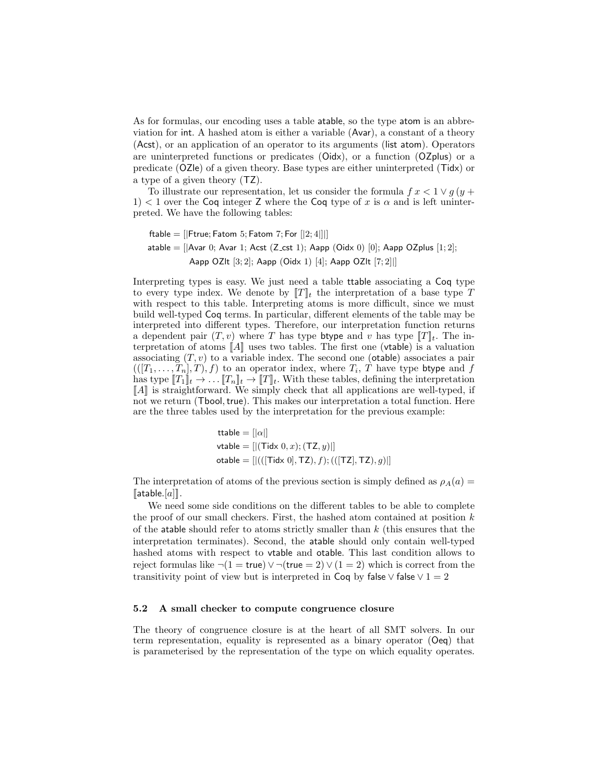As for formulas, our encoding uses a table atable, so the type atom is an abbreviation for int. A hashed atom is either a variable (Avar), a constant of a theory (Acst), or an application of an operator to its arguments (list atom). Operators are uninterpreted functions or predicates (Oidx), or a function (OZplus) or a predicate (OZle) of a given theory. Base types are either uninterpreted (Tidx) or a type of a given theory (TZ).

To illustrate our representation, let us consider the formula  $f x < 1 \vee g (y +$ 1)  $<$  1 over the Coq integer Z where the Coq type of x is  $\alpha$  and is left uninterpreted. We have the following tables:

ftable  $=$  [[Ftrue; Fatom 5; Fatom 7; For  $[2;4]$ ]]] atable  $=$  [ $Avar 0$ ; Avar 1; Acst (Z\_cst 1); Aapp (Oidx 0) [0]; Aapp OZplus [1; 2]; Aapp OZlt [3; 2]; Aapp (Oidx 1) [4]; Aapp OZlt [7; 2]|]

Interpreting types is easy. We just need a table ttable associating a Coq type to every type index. We denote by  $[T]_t$  the interpretation of a base type T with respect to this table. Interpreting atoms is more difficult, since we must build well-typed Coq terms. In particular, different elements of the table may be interpreted into different types. Therefore, our interpretation function returns a dependent pair  $(T, v)$  where T has type btype and v has type  $[T]_t$ . The interpretation of atoms  $\llbracket A \rrbracket$  uses two tables. The first one (vtable) is a valuation associating  $(T, v)$  to a variable index. The second one (otable) associates a pair  $(([T_1, \ldots, T_n], T), f)$  to an operator index, where  $T_i$ , T have type btype and f has type  $[[T_1]_t \to \ldots [[T_n]_t \to [[T]]_t$ . With these tables, defining the interpretation  $\llbracket A \rrbracket$  is straightforward. We simply check that all applications are well-typed, if not we return (Tbool, true). This makes our interpretation a total function. Here are the three tables used by the interpretation for the previous example:

\n
$$
\text{stable} = [|\alpha|]
$$
\n

\n\n $\text{stable} = [[(\text{Tidx } 0, x); (\text{TZ}, y)]]$ \n

\n\n $\text{stable} = [[((\text{Tidx } 0], \text{TZ}), f); ((\text{TZ}, \text{TZ}), g)]$ \n

The interpretation of atoms of the previous section is simply defined as  $\rho_A(a)$  $\llbracket$ atable. $[a]\rrbracket$ .

We need some side conditions on the different tables to be able to complete the proof of our small checkers. First, the hashed atom contained at position  $k$ of the atable should refer to atoms strictly smaller than  $k$  (this ensures that the interpretation terminates). Second, the atable should only contain well-typed hashed atoms with respect to vtable and otable. This last condition allows to reject formulas like  $\neg(1 = \text{true}) \vee \neg(\text{true} = 2) \vee (1 = 2)$  which is correct from the transitivity point of view but is interpreted in Coq by false  $\vee$  false  $\vee$  1 = 2

#### 5.2 A small checker to compute congruence closure

The theory of congruence closure is at the heart of all SMT solvers. In our term representation, equality is represented as a binary operator (Oeq) that is parameterised by the representation of the type on which equality operates.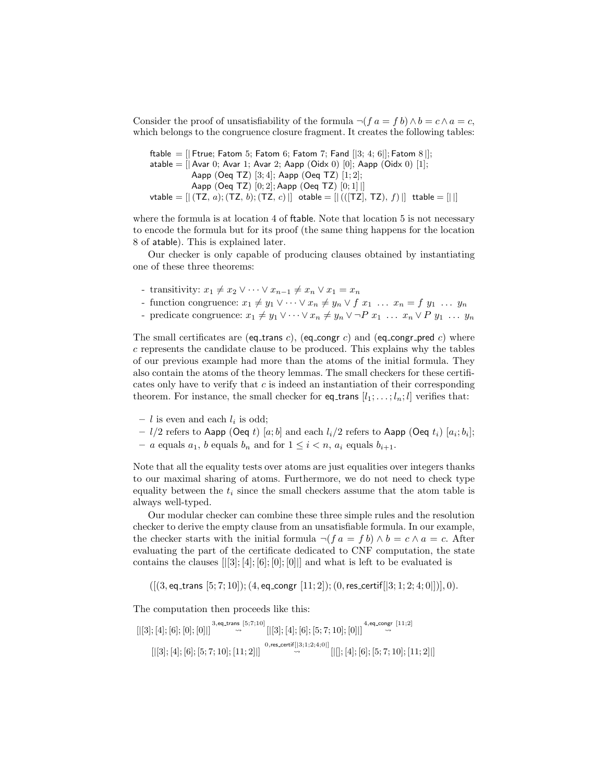Consider the proof of unsatisfiability of the formula  $\neg (fa = fb) \wedge b = c \wedge a = c$ , which belongs to the congruence closure fragment. It creates the following tables:

| $ftable = []$ | $F$ | $Fit$ | $Fit$ | $Fit$ | $Fit$ | $Fit$ | $Fit$ | $Fit$ | $Fit$ | $Fit$ | $Fit$ | $Fit$ | $Fit$ | $Fit$ | $Fit$ | $Fit$ | $F$ | $F$ | $F$ | $F$ | $F$ | $F$ | $F$ | $F$ | $F$ | $F$ | $F$ | $F$ | $F$ | $F$ | $F$ | $F$ | $F$ | $F$ | $F$ | $F$ | $F$ | $F$ | $F$ | $F$ | $F$ | $F$ | $F$ | $F$ | $F$ | $F$ | $F$ | $F$ | $F$ | $F$ | $F$ | $F$ | $F$ </td |
|---------------|-----|-------|-------|-------|-------|-------|-------|-------|-------|-------|-------|-------|-------|-------|-------|-------|-----|-----|-----|-----|-----|-----|-----|-----|-----|-----|-----|-----|-----|-----|-----|-----|-----|-----|-----|-----|-----|-----|-----|-----|-----|-----|-----|-----|-----|-----|-----|-----|-----|-----|-----|-----|----------|
|---------------|-----|-------|-------|-------|-------|-------|-------|-------|-------|-------|-------|-------|-------|-------|-------|-------|-----|-----|-----|-----|-----|-----|-----|-----|-----|-----|-----|-----|-----|-----|-----|-----|-----|-----|-----|-----|-----|-----|-----|-----|-----|-----|-----|-----|-----|-----|-----|-----|-----|-----|-----|-----|----------|

where the formula is at location 4 of ftable. Note that location 5 is not necessary to encode the formula but for its proof (the same thing happens for the location 8 of atable). This is explained later.

Our checker is only capable of producing clauses obtained by instantiating one of these three theorems:

- transitivity:  $x_1 \neq x_2 \vee \cdots \vee x_{n-1} \neq x_n \vee x_1 = x_n$
- function congruence:  $x_1 \neq y_1 \vee \cdots \vee x_n \neq y_n \vee f x_1 \ldots x_n = f y_1 \ldots y_n$
- predicate congruence:  $x_1 \neq y_1 \vee \cdots \vee x_n \neq y_n \vee \neg P \ x_1 \ \ldots \ x_n \vee P \ y_1 \ \ldots \ y_n$

The small certificates are (eq\_trans c), (eq\_congr c) and (eq\_congr\_pred c) where c represents the candidate clause to be produced. This explains why the tables of our previous example had more than the atoms of the initial formula. They also contain the atoms of the theory lemmas. The small checkers for these certificates only have to verify that  $c$  is indeed an instantiation of their corresponding theorem. For instance, the small checker for eq\_trans  $[l_1; \ldots; l_n; l]$  verifies that:

- $l$  is even and each  $l_i$  is odd;
- $l/2$  refers to Aapp (Oeq t)  $[a;b]$  and each  $l_i/2$  refers to Aapp (Oeq  $t_i)$   $[a_i;b_i];$
- a equals  $a_1$ , b equals  $b_n$  and for  $1 \leq i \leq n$ ,  $a_i$  equals  $b_{i+1}$ .

Note that all the equality tests over atoms are just equalities over integers thanks to our maximal sharing of atoms. Furthermore, we do not need to check type equality between the  $t_i$  since the small checkers assume that the atom table is always well-typed.

Our modular checker can combine these three simple rules and the resolution checker to derive the empty clause from an unsatisfiable formula. In our example, the checker starts with the initial formula  $\neg (fa = fb) \wedge b = c \wedge a = c$ . After evaluating the part of the certificate dedicated to CNF computation, the state contains the clauses  $[3]$ ;  $[4]$ ;  $[6]$ ;  $[0]$ ;  $[0]$ ] and what is left to be evaluated is

 $([(3, eq\_trans [5; 7; 10]); (4, eq\_congr [11; 2]); (0, res\_certif [3; 1; 2; 4; 0]])], 0).$ 

The computation then proceeds like this:

$$
\begin{aligned} [[[3];[4];[6];[0];[0]] \stackrel{3,\text{eq.trans}}{\rightsquigarrow} & [[[3];[4];[6];[5;7;10];[0]] \stackrel{4,\text{eq.congr [11;2]}}{\rightsquigarrow} \\ [[[3];[4];[6];[5;7;10];[11;2]] \stackrel{0,\text{res.certif}[[3;1;2;4;0]]}{\rightsquigarrow} & [[[1];[4];[6];[5;7;10];[11;2]]] \end{aligned}
$$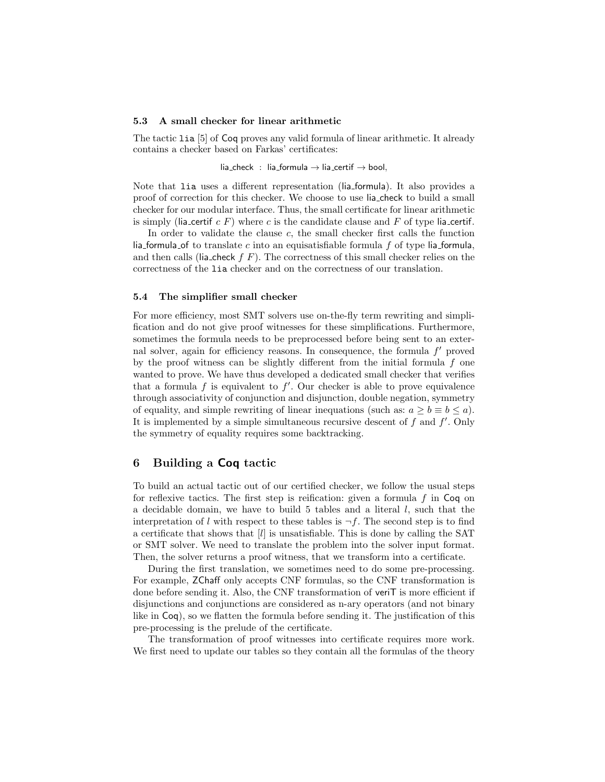#### 5.3 A small checker for linear arithmetic

The tactic lia [5] of Coq proves any valid formula of linear arithmetic. It already contains a checker based on Farkas' certificates:

#### lia\_check : lia\_formula  $\rightarrow$  lia\_certif  $\rightarrow$  bool,

Note that lia uses a different representation (lia formula). It also provides a proof of correction for this checker. We choose to use lia check to build a small checker for our modular interface. Thus, the small certificate for linear arithmetic is simply (lia certif  $c F$ ) where c is the candidate clause and F of type lia certif.

In order to validate the clause c, the small checker first calls the function lia formula of to translate  $c$  into an equisatisfiable formula  $f$  of type lia formula, and then calls (lia check  $f F$ ). The correctness of this small checker relies on the correctness of the lia checker and on the correctness of our translation.

#### 5.4 The simplifier small checker

For more efficiency, most SMT solvers use on-the-fly term rewriting and simplification and do not give proof witnesses for these simplifications. Furthermore, sometimes the formula needs to be preprocessed before being sent to an external solver, again for efficiency reasons. In consequence, the formula  $f'$  proved by the proof witness can be slightly different from the initial formula  $f$  one wanted to prove. We have thus developed a dedicated small checker that verifies that a formula f is equivalent to  $f'$ . Our checker is able to prove equivalence through associativity of conjunction and disjunction, double negation, symmetry of equality, and simple rewriting of linear inequations (such as:  $a \ge b \equiv b \le a$ ). It is implemented by a simple simultaneous recursive descent of  $f$  and  $f'$ . Only the symmetry of equality requires some backtracking.

#### 6 Building a Coq tactic

To build an actual tactic out of our certified checker, we follow the usual steps for reflexive tactics. The first step is reification: given a formula  $f$  in Coq on a decidable domain, we have to build  $5$  tables and a literal  $l$ , such that the interpretation of l with respect to these tables is  $\neg f$ . The second step is to find a certificate that shows that  $[l]$  is unsatisfiable. This is done by calling the SAT or SMT solver. We need to translate the problem into the solver input format. Then, the solver returns a proof witness, that we transform into a certificate.

During the first translation, we sometimes need to do some pre-processing. For example, ZChaff only accepts CNF formulas, so the CNF transformation is done before sending it. Also, the CNF transformation of veriT is more efficient if disjunctions and conjunctions are considered as n-ary operators (and not binary like in Coq), so we flatten the formula before sending it. The justification of this pre-processing is the prelude of the certificate.

The transformation of proof witnesses into certificate requires more work. We first need to update our tables so they contain all the formulas of the theory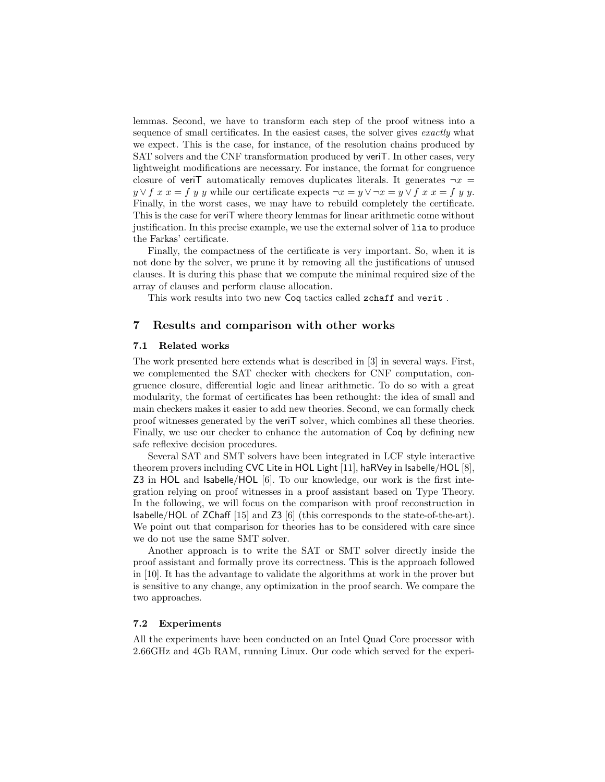lemmas. Second, we have to transform each step of the proof witness into a sequence of small certificates. In the easiest cases, the solver gives exactly what we expect. This is the case, for instance, of the resolution chains produced by SAT solvers and the CNF transformation produced by veriT. In other cases, very lightweight modifications are necessary. For instance, the format for congruence closure of veriT automatically removes duplicates literals. It generates  $\neg x$  =  $y \vee f x x = f y y$  while our certificate expects  $\neg x = y \vee \neg x = y \vee f x x = f y y$ . Finally, in the worst cases, we may have to rebuild completely the certificate. This is the case for veriT where theory lemmas for linear arithmetic come without justification. In this precise example, we use the external solver of lia to produce the Farkas' certificate.

Finally, the compactness of the certificate is very important. So, when it is not done by the solver, we prune it by removing all the justifications of unused clauses. It is during this phase that we compute the minimal required size of the array of clauses and perform clause allocation.

This work results into two new Coq tactics called zchaff and verit .

### 7 Results and comparison with other works

#### 7.1 Related works

The work presented here extends what is described in [3] in several ways. First, we complemented the SAT checker with checkers for CNF computation, congruence closure, differential logic and linear arithmetic. To do so with a great modularity, the format of certificates has been rethought: the idea of small and main checkers makes it easier to add new theories. Second, we can formally check proof witnesses generated by the veriT solver, which combines all these theories. Finally, we use our checker to enhance the automation of Coq by defining new safe reflexive decision procedures.

Several SAT and SMT solvers have been integrated in LCF style interactive theorem provers including CVC Lite in HOL Light [11], haRVey in Isabelle/HOL [8], Z3 in HOL and Isabelle/HOL [6]. To our knowledge, our work is the first integration relying on proof witnesses in a proof assistant based on Type Theory. In the following, we will focus on the comparison with proof reconstruction in Isabelle/HOL of ZChaff [15] and Z3 [6] (this corresponds to the state-of-the-art). We point out that comparison for theories has to be considered with care since we do not use the same SMT solver.

Another approach is to write the SAT or SMT solver directly inside the proof assistant and formally prove its correctness. This is the approach followed in [10]. It has the advantage to validate the algorithms at work in the prover but is sensitive to any change, any optimization in the proof search. We compare the two approaches.

#### 7.2 Experiments

All the experiments have been conducted on an Intel Quad Core processor with 2.66GHz and 4Gb RAM, running Linux. Our code which served for the experi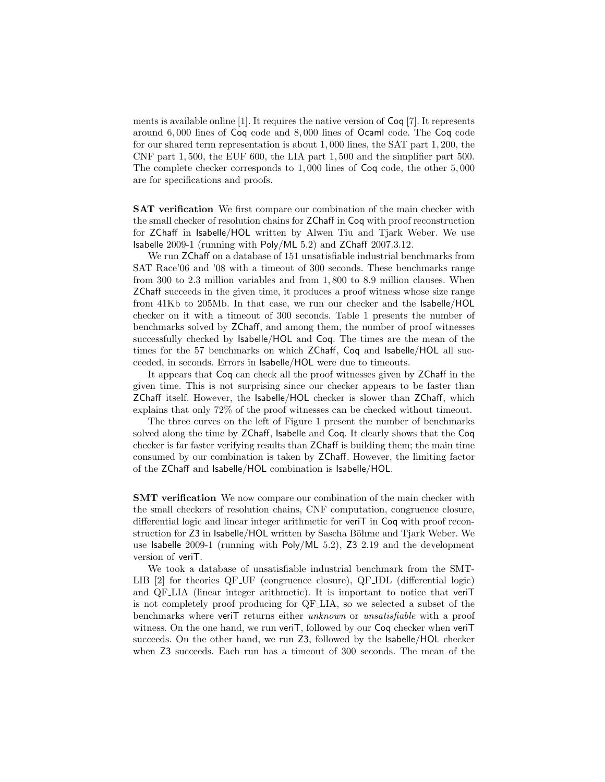ments is available online  $[1]$ . It requires the native version of  $\text{Coq }[7]$ . It represents around 6, 000 lines of Coq code and 8, 000 lines of Ocaml code. The Coq code for our shared term representation is about 1, 000 lines, the SAT part 1, 200, the CNF part 1, 500, the EUF 600, the LIA part 1, 500 and the simplifier part 500. The complete checker corresponds to 1, 000 lines of Coq code, the other 5, 000 are for specifications and proofs.

**SAT verification** We first compare our combination of the main checker with the small checker of resolution chains for ZChaff in Coq with proof reconstruction for ZChaff in Isabelle/HOL written by Alwen Tiu and Tjark Weber. We use Isabelle 2009-1 (running with Poly/ML 5.2) and ZChaff 2007.3.12.

We run ZChaff on a database of 151 unsatisfiable industrial benchmarks from SAT Race'06 and '08 with a timeout of 300 seconds. These benchmarks range from 300 to 2.3 million variables and from 1, 800 to 8.9 million clauses. When ZChaff succeeds in the given time, it produces a proof witness whose size range from 41Kb to 205Mb. In that case, we run our checker and the Isabelle/HOL checker on it with a timeout of 300 seconds. Table 1 presents the number of benchmarks solved by ZChaff, and among them, the number of proof witnesses successfully checked by Isabelle/HOL and Coq. The times are the mean of the times for the 57 benchmarks on which ZChaff, Coq and Isabelle/HOL all succeeded, in seconds. Errors in Isabelle/HOL were due to timeouts.

It appears that Coq can check all the proof witnesses given by ZChaff in the given time. This is not surprising since our checker appears to be faster than ZChaff itself. However, the Isabelle/HOL checker is slower than ZChaff, which explains that only 72% of the proof witnesses can be checked without timeout.

The three curves on the left of Figure 1 present the number of benchmarks solved along the time by ZChaff, Isabelle and Coq. It clearly shows that the Coq checker is far faster verifying results than ZChaff is building them; the main time consumed by our combination is taken by ZChaff. However, the limiting factor of the ZChaff and Isabelle/HOL combination is Isabelle/HOL.

SMT verification We now compare our combination of the main checker with the small checkers of resolution chains, CNF computation, congruence closure, differential logic and linear integer arithmetic for veriT in Coq with proof reconstruction for Z3 in Isabelle/HOL written by Sascha Böhme and Tjark Weber. We use Isabelle 2009-1 (running with Poly/ML 5.2), Z3 2.19 and the development version of veriT.

We took a database of unsatisfiable industrial benchmark from the SMT-LIB [2] for theories QF UF (congruence closure), QF IDL (differential logic) and QF LIA (linear integer arithmetic). It is important to notice that veriT is not completely proof producing for QF LIA, so we selected a subset of the benchmarks where veriT returns either unknown or unsatisfiable with a proof witness. On the one hand, we run veriT, followed by our Coq checker when veriT succeeds. On the other hand, we run Z3, followed by the Isabelle/HOL checker when Z3 succeeds. Each run has a timeout of 300 seconds. The mean of the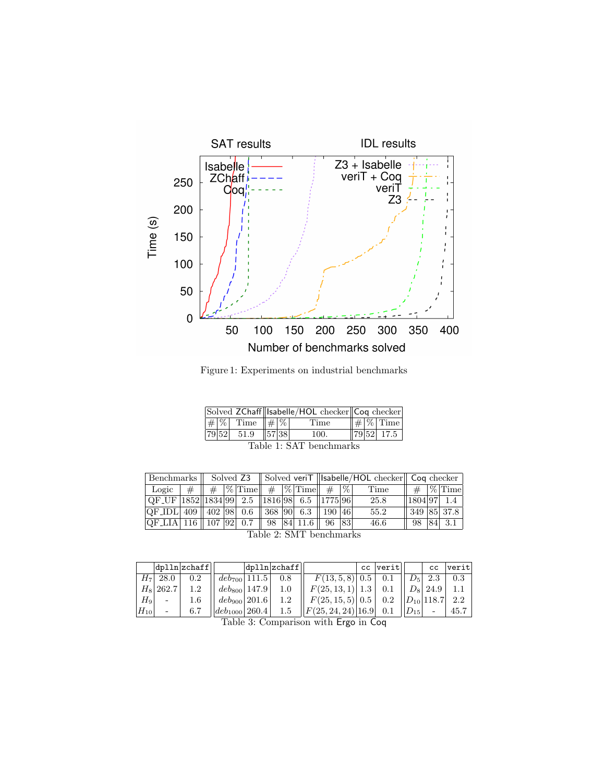

Figure 1: Experiments on industrial benchmarks

|                         |  |                          |  |  | Solved ZChaff Isabelle/HOL checker Coq checker |  |  |                |  |  |
|-------------------------|--|--------------------------|--|--|------------------------------------------------|--|--|----------------|--|--|
|                         |  | $ \# \% $ Time $ \# \% $ |  |  | Time                                           |  |  | $\#$  % Time   |  |  |
| 79 52                   |  | 51.9     57   38         |  |  | 100.                                           |  |  | $ 79 52 $ 17.5 |  |  |
| Table 1: SAT benchmarks |  |                          |  |  |                                                |  |  |                |  |  |

|                                                                     |   | Benchmarks   Solved Z3   Solved veriT   Isabelle / HOL checker   Coq checker |  |                                                                       |  |  |                            |  |  |      |                   |    |             |
|---------------------------------------------------------------------|---|------------------------------------------------------------------------------|--|-----------------------------------------------------------------------|--|--|----------------------------|--|--|------|-------------------|----|-------------|
| Logic                                                               | # |                                                                              |  | $\parallel \#  \% $ Time $\parallel \#  \% $ Time $\parallel \#  \% $ |  |  |                            |  |  | Time | #                 |    | $ \% $ Time |
| $ QF_UF 1852  1834 99 $ 2.5 $  1816 98 $ 6.5 $  1775 96 $           |   |                                                                              |  |                                                                       |  |  |                            |  |  | 25.8 | $\ 1804 97\ $ 1.4 |    |             |
| $ QF_1DL $ 409    402    98    0.6    368    90    6.3    190    46 |   |                                                                              |  |                                                                       |  |  |                            |  |  | 55.2 |                   |    | 349 85 37.8 |
| $ QFLIA $ 116    107    92    0.7                                   |   |                                                                              |  |                                                                       |  |  | 98   84   11.6   1 96   83 |  |  | 46.6 | 98                | 84 | -3.1        |
| Table 2: SMT benchmarks                                             |   |                                                                              |  |                                                                       |  |  |                            |  |  |      |                   |    |             |

|          |                          | $ $ dpl $ln z$ chaff $  $ |                                       | $d$ plln $ z$ chaff $ $ |                                            | cc verit | cc          | vert |
|----------|--------------------------|---------------------------|---------------------------------------|-------------------------|--------------------------------------------|----------|-------------|------|
| $H_7$    | $\degree$ 28.0 $\degree$ | 0.2                       | $   \text{ } deb_{700}   111.5   0.8$ |                         | $F(13,5,8)$ 0.5 0.1                        |          | $D_5 2.3$   |      |
|          | $H_8$   262.7            | 1.2                       | $\vert$ deb <sub>800</sub>   147.9    | 1.0                     | $F(25, 13, 1)$ 1.3 0.1                     |          | $ D_8 24.9$ |      |
| $H_{9}$  | -                        | $1.6\,$                   | $deb_{900}$ 201.6                     | 1.2                     | $F(25, 15, 5)$ 0.5 0.2 $ D_{10} 118.7$ 2.2 |          |             |      |
| $H_{10}$ | -                        | 6.7                       | $ deb_{1000} 260.4 $                  | 1.5                     | $  F(25, 24, 24) 16.9 $ 0.1 $  D_{15}  $   |          |             | 45.7 |

Table 3: Comparison with Ergo in Coq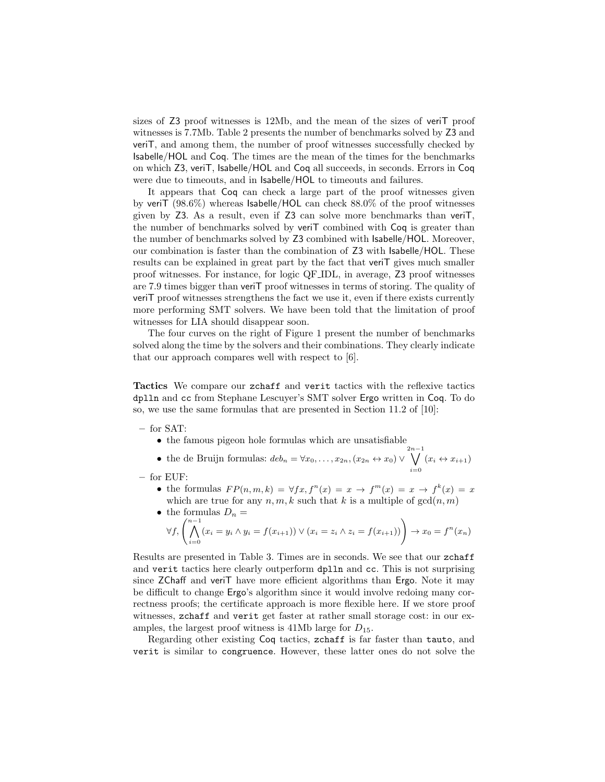sizes of Z3 proof witnesses is 12Mb, and the mean of the sizes of veriT proof witnesses is 7.7Mb. Table 2 presents the number of benchmarks solved by Z3 and veriT, and among them, the number of proof witnesses successfully checked by Isabelle/HOL and Coq. The times are the mean of the times for the benchmarks on which Z3, veriT, Isabelle/HOL and Coq all succeeds, in seconds. Errors in Coq were due to timeouts, and in Isabelle/HOL to timeouts and failures.

It appears that Coq can check a large part of the proof witnesses given by veriT (98.6%) whereas Isabelle/HOL can check 88.0% of the proof witnesses given by Z3. As a result, even if Z3 can solve more benchmarks than veriT, the number of benchmarks solved by veriT combined with Coq is greater than the number of benchmarks solved by Z3 combined with Isabelle/HOL. Moreover, our combination is faster than the combination of Z3 with Isabelle/HOL. These results can be explained in great part by the fact that veriT gives much smaller proof witnesses. For instance, for logic QF IDL, in average, Z3 proof witnesses are 7.9 times bigger than veriT proof witnesses in terms of storing. The quality of veriT proof witnesses strengthens the fact we use it, even if there exists currently more performing SMT solvers. We have been told that the limitation of proof witnesses for LIA should disappear soon.

The four curves on the right of Figure 1 present the number of benchmarks solved along the time by the solvers and their combinations. They clearly indicate that our approach compares well with respect to [6].

Tactics We compare our zchaff and verit tactics with the reflexive tactics dplln and cc from Stephane Lescuyer's SMT solver Ergo written in Coq. To do so, we use the same formulas that are presented in Section 11.2 of [10]:

– for SAT:

- the famous pigeon hole formulas which are unsatisfiable
- the de Bruijn formulas:  $deb_n = \forall x_0, \ldots, x_{2n}, (x_{2n} \leftrightarrow x_0) \vee$  $\bigvee^{2n-1}$  $i=0$  $(x_i \leftrightarrow x_{i+1})$
- for EUF:
	- the formulas  $FP(n, m, k) = \forall fx, f^{n}(x) = x \rightarrow f^{m}(x) = x \rightarrow f^{k}(x) = x$ which are true for any  $n, m, k$  such that k is a multiple of  $gcd(n, m)$
	- the formulas  $D_n =$

$$
\forall f, \left( \bigwedge_{i=0}^{n-1} (x_i = y_i \land y_i = f(x_{i+1})) \lor (x_i = z_i \land z_i = f(x_{i+1})) \right) \to x_0 = f^n(x_n)
$$

Results are presented in Table 3. Times are in seconds. We see that our zchaff and verit tactics here clearly outperform dplln and cc. This is not surprising since ZChaff and veriT have more efficient algorithms than Ergo. Note it may be difficult to change Ergo's algorithm since it would involve redoing many correctness proofs; the certificate approach is more flexible here. If we store proof witnesses, zchaff and verit get faster at rather small storage cost: in our examples, the largest proof witness is 41Mb large for  $D_{15}$ .

Regarding other existing Coq tactics, zchaff is far faster than tauto, and verit is similar to congruence. However, these latter ones do not solve the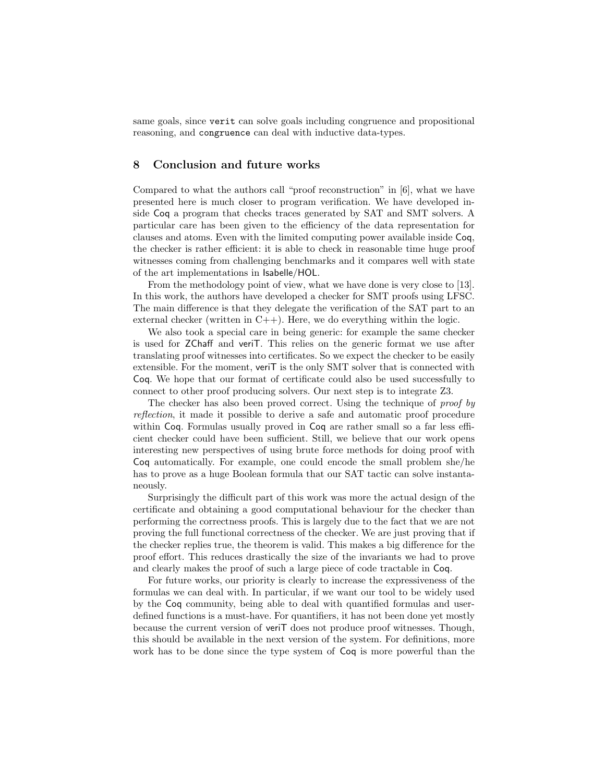same goals, since verit can solve goals including congruence and propositional reasoning, and congruence can deal with inductive data-types.

## 8 Conclusion and future works

Compared to what the authors call "proof reconstruction" in [6], what we have presented here is much closer to program verification. We have developed inside Coq a program that checks traces generated by SAT and SMT solvers. A particular care has been given to the efficiency of the data representation for clauses and atoms. Even with the limited computing power available inside Coq, the checker is rather efficient: it is able to check in reasonable time huge proof witnesses coming from challenging benchmarks and it compares well with state of the art implementations in Isabelle/HOL.

From the methodology point of view, what we have done is very close to [13]. In this work, the authors have developed a checker for SMT proofs using LFSC. The main difference is that they delegate the verification of the SAT part to an external checker (written in  $C_{++}$ ). Here, we do everything within the logic.

We also took a special care in being generic: for example the same checker is used for ZChaff and veriT. This relies on the generic format we use after translating proof witnesses into certificates. So we expect the checker to be easily extensible. For the moment, veriT is the only SMT solver that is connected with Coq. We hope that our format of certificate could also be used successfully to connect to other proof producing solvers. Our next step is to integrate Z3.

The checker has also been proved correct. Using the technique of proof by reflection, it made it possible to derive a safe and automatic proof procedure within Coq. Formulas usually proved in Coq are rather small so a far less efficient checker could have been sufficient. Still, we believe that our work opens interesting new perspectives of using brute force methods for doing proof with Coq automatically. For example, one could encode the small problem she/he has to prove as a huge Boolean formula that our SAT tactic can solve instantaneously.

Surprisingly the difficult part of this work was more the actual design of the certificate and obtaining a good computational behaviour for the checker than performing the correctness proofs. This is largely due to the fact that we are not proving the full functional correctness of the checker. We are just proving that if the checker replies true, the theorem is valid. This makes a big difference for the proof effort. This reduces drastically the size of the invariants we had to prove and clearly makes the proof of such a large piece of code tractable in Coq.

For future works, our priority is clearly to increase the expressiveness of the formulas we can deal with. In particular, if we want our tool to be widely used by the Coq community, being able to deal with quantified formulas and userdefined functions is a must-have. For quantifiers, it has not been done yet mostly because the current version of veriT does not produce proof witnesses. Though, this should be available in the next version of the system. For definitions, more work has to be done since the type system of Coq is more powerful than the